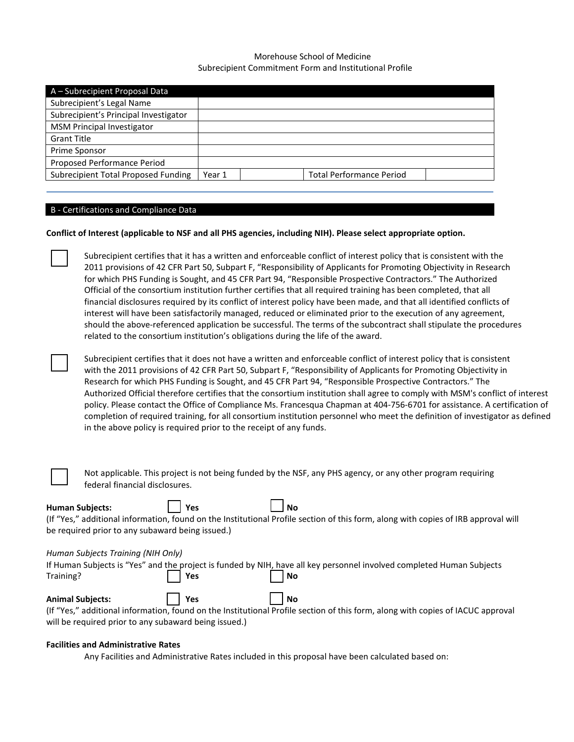# Morehouse School of Medicine Subrecipient Commitment Form and Institutional Profile

| A - Subrecipient Proposal Data        |        |                                 |  |
|---------------------------------------|--------|---------------------------------|--|
| Subrecipient's Legal Name             |        |                                 |  |
| Subrecipient's Principal Investigator |        |                                 |  |
| <b>MSM Principal Investigator</b>     |        |                                 |  |
| <b>Grant Title</b>                    |        |                                 |  |
| Prime Sponsor                         |        |                                 |  |
| Proposed Performance Period           |        |                                 |  |
| Subrecipient Total Proposed Funding   | Year 1 | <b>Total Performance Period</b> |  |
|                                       |        |                                 |  |

## B - Certifications and Compliance Data

## **Conflict of Interest (applicable to NSF and all PHS agencies, including NIH). Please select appropriate option.**

Subrecipient certifies that it has a written and enforceable conflict of interest policy that is consistent with the 2011 provisions of 42 CFR Part 50, Subpart F, "Responsibility of Applicants for Promoting Objectivity in Research for which PHS Funding is Sought, and 45 CFR Part 94, "Responsible Prospective Contractors." The Authorized Official of the consortium institution further certifies that all required training has been completed, that all financial disclosures required by its conflict of interest policy have been made, and that all identified conflicts of interest will have been satisfactorily managed, reduced or eliminated prior to the execution of any agreement, should the above-referenced application be successful. The terms of the subcontract shall stipulate the procedures related to the consortium institution's obligations during the life of the award.

Subrecipient certifies that it does not have a written and enforceable conflict of interest policy that is consistent with the 2011 provisions of 42 CFR Part 50, Subpart F, "Responsibility of Applicants for Promoting Objectivity in Research for which PHS Funding is Sought, and 45 CFR Part 94, "Responsible Prospective Contractors." The Authorized Official therefore certifies that the consortium institution shall agree to comply with MSM's conflict of interest policy. Please contact the Office of Compliance Ms. Francesqua Chapman at 404-756-6701 for assistance. A certification of completion of required training, for all consortium institution personnel who meet the definition of investigator as defined in the above policy is required prior to the receipt of any funds.

| Not applicable. This project is not being funded by the NSF, any PHS agency, or any other program requiring |
|-------------------------------------------------------------------------------------------------------------|
| federal financial disclosures.                                                                              |

**Human Subjects:**  $\begin{array}{|c|c|c|c|}\n\hline\n\end{array}$  Yes  $\begin{array}{|c|c|c|c|}\n\hline\n\end{array}$  No (If "Yes," additional information, found on the Institutional Profile section of this form, along with copies of IRB approval will be required prior to any subaward being issued.)

## *Human Subjects Training (NIH Only)*

|           |         |                    | If Human Subjects is "Yes" and the project is funded by NIH, have all key personnel involved completed Human Subjects |
|-----------|---------|--------------------|-----------------------------------------------------------------------------------------------------------------------|
| Training? | $ $ Yes | $\vert$ $\vert$ No |                                                                                                                       |
|           |         |                    |                                                                                                                       |

Animal Subjects:  $\vert$  | Yes | | No (If "Yes," additional information, found on the Institutional Profile section of this form, along with copies of IACUC approval will be required prior to any subaward being issued.)

#### **Facilities and Administrative Rates**

Any Facilities and Administrative Rates included in this proposal have been calculated based on: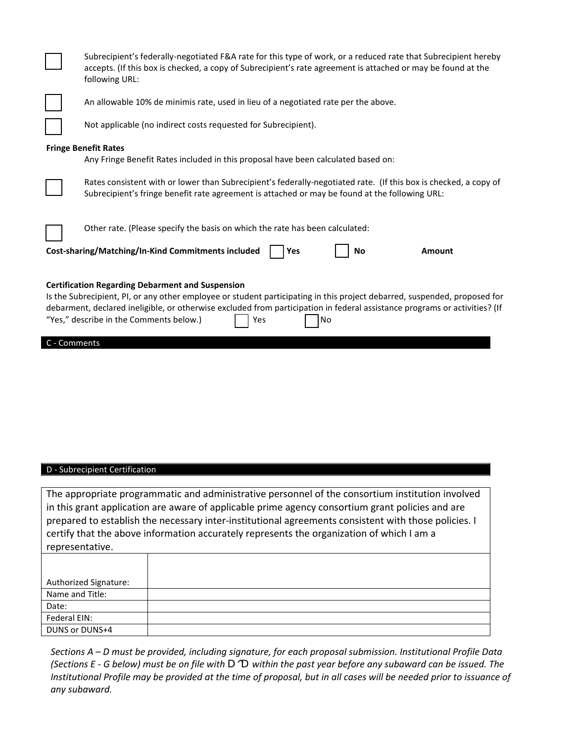|                                                                                                                                                                                                                                                                                                                                                                                            | Subrecipient's federally-negotiated F&A rate for this type of work, or a reduced rate that Subrecipient hereby<br>accepts. (If this box is checked, a copy of Subrecipient's rate agreement is attached or may be found at the<br>following URL: |  |  |  |
|--------------------------------------------------------------------------------------------------------------------------------------------------------------------------------------------------------------------------------------------------------------------------------------------------------------------------------------------------------------------------------------------|--------------------------------------------------------------------------------------------------------------------------------------------------------------------------------------------------------------------------------------------------|--|--|--|
|                                                                                                                                                                                                                                                                                                                                                                                            | An allowable 10% de minimis rate, used in lieu of a negotiated rate per the above.                                                                                                                                                               |  |  |  |
|                                                                                                                                                                                                                                                                                                                                                                                            | Not applicable (no indirect costs requested for Subrecipient).                                                                                                                                                                                   |  |  |  |
|                                                                                                                                                                                                                                                                                                                                                                                            | <b>Fringe Benefit Rates</b><br>Any Fringe Benefit Rates included in this proposal have been calculated based on:                                                                                                                                 |  |  |  |
|                                                                                                                                                                                                                                                                                                                                                                                            | Rates consistent with or lower than Subrecipient's federally-negotiated rate. (If this box is checked, a copy of<br>Subrecipient's fringe benefit rate agreement is attached or may be found at the following URL:                               |  |  |  |
|                                                                                                                                                                                                                                                                                                                                                                                            | Other rate. (Please specify the basis on which the rate has been calculated:<br>Cost-sharing/Matching/In-Kind Commitments included<br>Yes<br>No<br><b>Amount</b>                                                                                 |  |  |  |
| <b>Certification Regarding Debarment and Suspension</b><br>Is the Subrecipient, PI, or any other employee or student participating in this project debarred, suspended, proposed for<br>debarment, declared ineligible, or otherwise excluded from participation in federal assistance programs or activities? (If<br>"Yes," describe in the Comments below.)<br>Yes<br>No<br>C - Comments |                                                                                                                                                                                                                                                  |  |  |  |

# D - Subrecipient Certification

The appropriate programmatic and administrative personnel of the consortium institution involved in this grant application are aware of applicable prime agency consortium grant policies and are prepared to establish the necessary inter-institutional agreements consistent with those policies. I certify that the above information accurately represents the organization of which I am a representative.

| <b>Authorized Signature:</b> |  |
|------------------------------|--|
| Name and Title:              |  |
| Date:                        |  |
| Federal EIN:                 |  |
| DUNS or DUNS+4               |  |

*Sections A – D must be provided, including signature, for each proposal submission. Institutional Profile Data (Sections E - G below) must be on file with D^D within the past year before any subaward can be issued. The Institutional Profile may be provided at the time of proposal, but in all cases will be needed prior to issuance of any subaward.*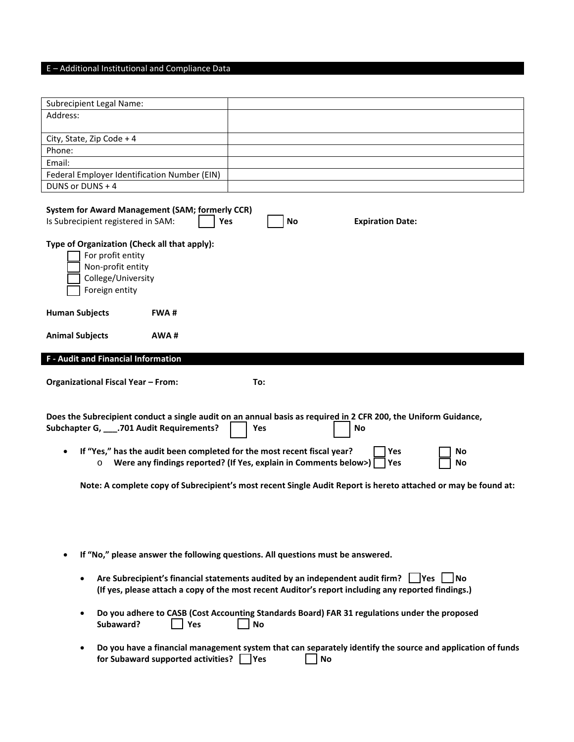# E – Additional Institutional and Compliance Data

| <b>Subrecipient Legal Name:</b>                                                                                                                                                                            |                                                                                                                                 |  |  |  |
|------------------------------------------------------------------------------------------------------------------------------------------------------------------------------------------------------------|---------------------------------------------------------------------------------------------------------------------------------|--|--|--|
| Address:                                                                                                                                                                                                   |                                                                                                                                 |  |  |  |
|                                                                                                                                                                                                            |                                                                                                                                 |  |  |  |
| City, State, Zip Code + 4                                                                                                                                                                                  |                                                                                                                                 |  |  |  |
| Phone:                                                                                                                                                                                                     |                                                                                                                                 |  |  |  |
| Email:                                                                                                                                                                                                     |                                                                                                                                 |  |  |  |
| Federal Employer Identification Number (EIN)                                                                                                                                                               |                                                                                                                                 |  |  |  |
| DUNS or DUNS + 4                                                                                                                                                                                           |                                                                                                                                 |  |  |  |
| <b>System for Award Management (SAM; formerly CCR)</b><br>Is Subrecipient registered in SAM:                                                                                                               | Yes<br>No<br><b>Expiration Date:</b>                                                                                            |  |  |  |
| Type of Organization (Check all that apply):<br>For profit entity<br>Non-profit entity<br>College/University<br>Foreign entity                                                                             |                                                                                                                                 |  |  |  |
| <b>Human Subjects</b><br><b>FWA#</b>                                                                                                                                                                       |                                                                                                                                 |  |  |  |
|                                                                                                                                                                                                            |                                                                                                                                 |  |  |  |
| <b>Animal Subjects</b><br>AWA#                                                                                                                                                                             |                                                                                                                                 |  |  |  |
| <b>F</b> - Audit and Financial Information                                                                                                                                                                 |                                                                                                                                 |  |  |  |
|                                                                                                                                                                                                            |                                                                                                                                 |  |  |  |
| <b>Organizational Fiscal Year - From:</b>                                                                                                                                                                  | To:                                                                                                                             |  |  |  |
|                                                                                                                                                                                                            |                                                                                                                                 |  |  |  |
| Does the Subrecipient conduct a single audit on an annual basis as required in 2 CFR 200, the Uniform Guidance,<br>Subchapter G, ____. 701 Audit Requirements?<br>No<br>Yes                                |                                                                                                                                 |  |  |  |
| If "Yes," has the audit been completed for the most recent fiscal year?<br>$\circ$                                                                                                                         | Yes<br>No<br>Were any findings reported? (If Yes, explain in Comments below>)<br>Yes<br>No                                      |  |  |  |
|                                                                                                                                                                                                            | Note: A complete copy of Subrecipient's most recent Single Audit Report is hereto attached or may be found at:                  |  |  |  |
|                                                                                                                                                                                                            |                                                                                                                                 |  |  |  |
|                                                                                                                                                                                                            |                                                                                                                                 |  |  |  |
|                                                                                                                                                                                                            |                                                                                                                                 |  |  |  |
|                                                                                                                                                                                                            | If "No," please answer the following questions. All questions must be answered.                                                 |  |  |  |
| Are Subrecipient's financial statements audited by an independent audit firm?<br>lYes.<br>l No<br>٠<br>(If yes, please attach a copy of the most recent Auditor's report including any reported findings.) |                                                                                                                                 |  |  |  |
| ٠<br>Subaward?<br>Yes                                                                                                                                                                                      | Do you adhere to CASB (Cost Accounting Standards Board) FAR 31 regulations under the proposed<br><b>No</b>                      |  |  |  |
| $\bullet$<br>for Subaward supported activities?                                                                                                                                                            | Do you have a financial management system that can separately identify the source and application of funds<br><b>P</b> es<br>No |  |  |  |